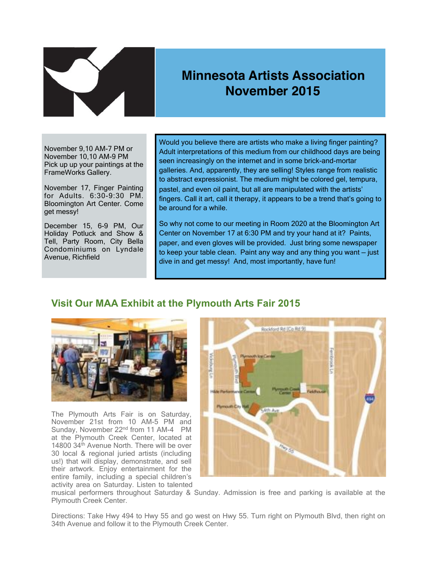

## **Minnesota Artists Association November 2015**

November 9,10 AM-7 PM or November 10,10 AM-9 PM Pick up up your paintings at the FrameWorks Gallery.

November 17, Finger Painting for Adults. 6:30-9:30 PM. Bloomington Art Center. Come get messy!

December 15, 6-9 PM, Our Holiday Potluck and Show & Tell, Party Room, City Bella Condominiums on Lyndale Avenue, Richfield

Would you believe there are artists who make a living finger painting? Adult interpretations of this medium from our childhood days are being seen increasingly on the internet and in some brick-and-mortar galleries. And, apparently, they are selling! Styles range from realistic to abstract expressionist. The medium might be colored gel, tempura, pastel, and even oil paint, but all are manipulated with the artists' fingers. Call it art, call it therapy, it appears to be a trend that's going to be around for a while.

So why not come to our meeting in Room 2020 at the Bloomington Art Center on November 17 at 6:30 PM and try your hand at it? Paints, paper, and even gloves will be provided. Just bring some newspaper to keep your table clean. Paint any way and any thing you want — just dive in and get messy! And, most importantly, have fun!

## **Visit Our MAA Exhibit at the Plymouth Arts Fair 2015**



The Plymouth Arts Fair is on Saturday, November 21st from 10 AM-5 PM and Sunday, November 22<sup>nd</sup> from 11 AM-4 PM at the Plymouth Creek Center, located at 14800 34<sup>th</sup> Avenue North. There will be over 30 local & regional juried artists (including us!) that will display, demonstrate, and sell their artwork. Enjoy entertainment for the entire family, including a special children's activity area on Saturday. Listen to talented



musical performers throughout Saturday & Sunday. Admission is free and parking is available at the Plymouth Creek Center.

Directions: Take Hwy 494 to Hwy 55 and go west on Hwy 55. Turn right on Plymouth Blvd, then right on 34th Avenue and follow it to the Plymouth Creek Center.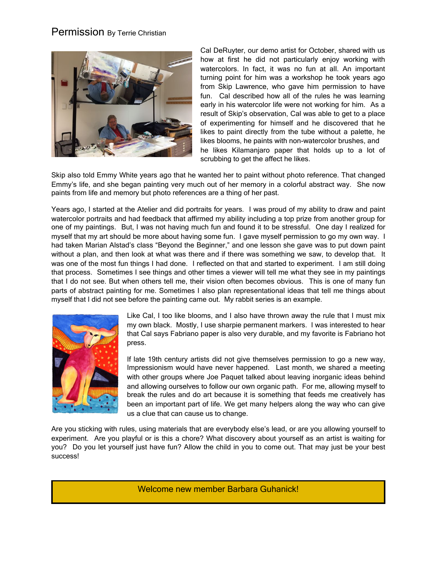## Permission By Terrie Christian



Cal DeRuyter, our demo artist for October, shared with us how at first he did not particularly enjoy working with watercolors. In fact, it was no fun at all. An important turning point for him was a workshop he took years ago from Skip Lawrence, who gave him permission to have fun. Cal described how all of the rules he was learning early in his watercolor life were not working for him. As a result of Skip's observation, Cal was able to get to a place of experimenting for himself and he discovered that he likes to paint directly from the tube without a palette, he likes blooms, he paints with non-watercolor brushes, and he likes Kilamanjaro paper that holds up to a lot of scrubbing to get the affect he likes.

Skip also told Emmy White years ago that he wanted her to paint without photo reference. That changed Emmy's life, and she began painting very much out of her memory in a colorful abstract way. She now paints from life and memory but photo references are a thing of her past.

Years ago, I started at the Atelier and did portraits for years. I was proud of my ability to draw and paint watercolor portraits and had feedback that affirmed my ability including a top prize from another group for one of my paintings. But, I was not having much fun and found it to be stressful. One day I realized for myself that my art should be more about having some fun. I gave myself permission to go my own way. I had taken Marian Alstad's class "Beyond the Beginner," and one lesson she gave was to put down paint without a plan, and then look at what was there and if there was something we saw, to develop that. It was one of the most fun things I had done. I reflected on that and started to experiment. I am still doing that process. Sometimes I see things and other times a viewer will tell me what they see in my paintings that I do not see. But when others tell me, their vision often becomes obvious. This is one of many fun parts of abstract painting for me. Sometimes I also plan representational ideas that tell me things about myself that I did not see before the painting came out. My rabbit series is an example.



Like Cal, I too like blooms, and I also have thrown away the rule that I must mix my own black. Mostly, I use sharpie permanent markers. I was interested to hear that Cal says Fabriano paper is also very durable, and my favorite is Fabriano hot press.

If late 19th century artists did not give themselves permission to go a new way, Impressionism would have never happened. Last month, we shared a meeting with other groups where Joe Paquet talked about leaving inorganic ideas behind and allowing ourselves to follow our own organic path. For me, allowing myself to break the rules and do art because it is something that feeds me creatively has been an important part of life. We get many helpers along the way who can give us a clue that can cause us to change.

Are you sticking with rules, using materials that are everybody else's lead, or are you allowing yourself to experiment. Are you playful or is this a chore? What discovery about yourself as an artist is waiting for you? Do you let yourself just have fun? Allow the child in you to come out. That may just be your best success!

Welcome new member Barbara Guhanick!